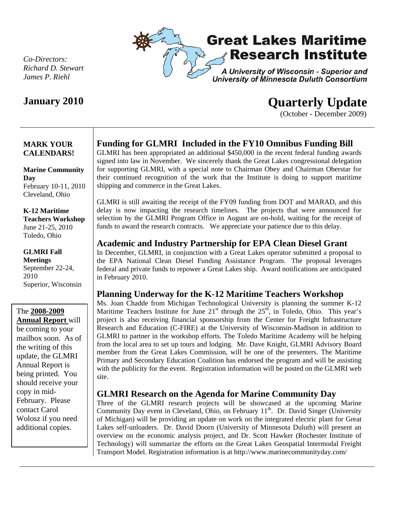

*Co-Directors: Richard D. Stewart James P. Riehl* 

# **January 2010 Quarterly Update**

(October - December 2009)

### **MARK YOUR CALENDARS!**

**Marine Community Day**  February 10-11, 2010 Cleveland, Ohio

#### **K-12 Maritime Teachers Workshop**  June 21-25, 2010 Toledo, Ohio

**GLMRI Fall Meetings**  September 22-24, 2010 Superior, Wisconsin

The **2008-2009 Annual Report** will be coming to your mailbox soon. As of the writing of this update, the GLMRI Annual Report is being printed. You should receive your copy in mid-February. Please contact Carol Wolosz if you need additional copies.

# **Funding for GLMRI Included in the FY10 Omnibus Funding Bill**

GLMRI has been appropriated an additional \$450,000 in the recent federal funding awards signed into law in November. We sincerely thank the Great Lakes congressional delegation for supporting GLMRI, with a special note to Chairman Obey and Chairman Oberstar for their continued recognition of the work that the Institute is doing to support maritime shipping and commerce in the Great Lakes.

GLMRI is still awaiting the receipt of the FY09 funding from DOT and MARAD, and this delay is now impacting the research timelines. The projects that were announced for selection by the GLMRI Program Office in August are on-hold, waiting for the receipt of funds to award the research contracts. We appreciate your patience due to this delay.

# **Academic and Industry Partnership for EPA Clean Diesel Grant**

In December, GLMRI, in conjunction with a Great Lakes operator submitted a proposal to the EPA National Clean Diesel Funding Assistance Program. The proposal leverages federal and private funds to repower a Great Lakes ship. Award notifications are anticipated in February 2010.

## **Planning Underway for the K-12 Maritime Teachers Workshop**

Ms. Joan Chadde from Michigan Technological University is planning the summer K-12 Maritime Teachers Institute for June  $21<sup>st</sup>$  through the  $25<sup>th</sup>$ , in Toledo, Ohio. This year's project is also receiving financial sponsorship from the Center for Freight Infrastructure Research and Education (C-FIRE) at the University of Wisconsin-Madison in addition to GLMRI to partner in the workshop efforts. The Toledo Maritime Academy will be helping from the local area to set up tours and lodging. Mr. Dave Knight, GLMRI Advisory Board member from the Great Lakes Commission, will be one of the presenters. The Maritime Primary and Secondary Education Coalition has endorsed the program and will be assisting with the publicity for the event. Registration information will be posted on the GLMRI web site.

## **GLMRI Research on the Agenda for Marine Community Day**

Three of the GLMRI research projects will be showcased at the upcoming Marine Community Day event in Cleveland, Ohio, on February  $11<sup>th</sup>$ . Dr. David Singer (University of Michigan) will be providing an update on work on the integrated electric plant for Great Lakes self-unloaders. Dr. David Doorn (University of Minnesota Duluth) will present an overview on the economic analysis project, and Dr. Scott Hawker (Rochester Institute of Technology) will summarize the efforts on the Great Lakes Geospatial Intermodal Freight Transport Model. Registration information is at http://www.marinecommunityday.com/